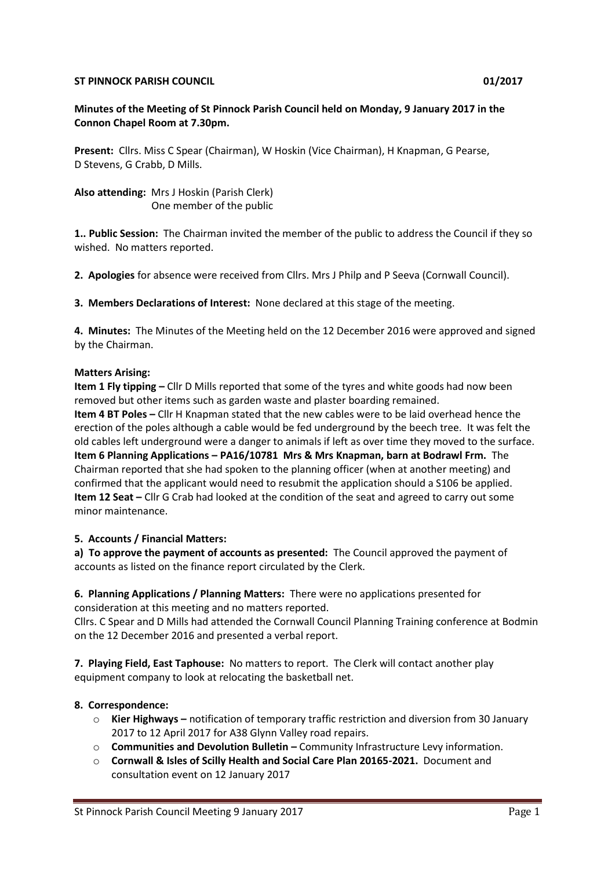#### **ST PINNOCK PARISH COUNCIL COUNCIL COUNCIL COUNCIL COUNCIL COUNCIL COUNCIL COUNCIL**

#### **Minutes of the Meeting of St Pinnock Parish Council held on Monday, 9 January 2017 in the Connon Chapel Room at 7.30pm.**

**Present:** Cllrs. Miss C Spear (Chairman), W Hoskin (Vice Chairman), H Knapman, G Pearse, D Stevens, G Crabb, D Mills.

**Also attending:** Mrs J Hoskin (Parish Clerk) One member of the public

**1.. Public Session:** The Chairman invited the member of the public to address the Council if they so wished. No matters reported.

**2. Apologies** for absence were received from Cllrs. Mrs J Philp and P Seeva (Cornwall Council).

**3. Members Declarations of Interest:** None declared at this stage of the meeting.

**4. Minutes:** The Minutes of the Meeting held on the 12 December 2016 were approved and signed by the Chairman.

# **Matters Arising:**

**Item 1 Fly tipping –** Cllr D Mills reported that some of the tyres and white goods had now been removed but other items such as garden waste and plaster boarding remained. **Item 4 BT Poles –** Cllr H Knapman stated that the new cables were to be laid overhead hence the erection of the poles although a cable would be fed underground by the beech tree. It was felt the old cables left underground were a danger to animals if left as over time they moved to the surface. **Item 6 Planning Applications – PA16/10781 Mrs & Mrs Knapman, barn at Bodrawl Frm.** The Chairman reported that she had spoken to the planning officer (when at another meeting) and confirmed that the applicant would need to resubmit the application should a S106 be applied. **Item 12 Seat –** Cllr G Crab had looked at the condition of the seat and agreed to carry out some minor maintenance.

# **5. Accounts / Financial Matters:**

**a) To approve the payment of accounts as presented:** The Council approved the payment of accounts as listed on the finance report circulated by the Clerk.

# **6. Planning Applications / Planning Matters:** There were no applications presented for consideration at this meeting and no matters reported.

Cllrs. C Spear and D Mills had attended the Cornwall Council Planning Training conference at Bodmin on the 12 December 2016 and presented a verbal report.

**7. Playing Field, East Taphouse:** No matters to report. The Clerk will contact another play equipment company to look at relocating the basketball net.

# **8. Correspondence:**

- o **Kier Highways –** notification of temporary traffic restriction and diversion from 30 January 2017 to 12 April 2017 for A38 Glynn Valley road repairs.
- o **Communities and Devolution Bulletin –** Community Infrastructure Levy information.
- o **Cornwall & Isles of Scilly Health and Social Care Plan 20165-2021.** Document and consultation event on 12 January 2017